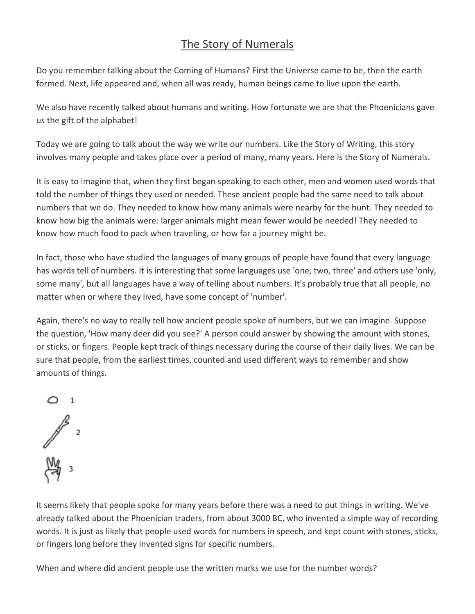## The Story of Numerals

Do you remember talking about the Coming of Humans? First the Universe came to be, then the earth formed. Next, life appeared and, when all was ready, human beings came to live upon the earth.

We also have recently talked about humans and writing. How fortunate we are that the Phoenicians gave us the gift of the alphabet!

Today we are going to talk about the way we write our numbers. Like the Story of Writing, this story involves many people and takes place over a period of many, many years. Here is the Story of Numerals.

It is easy to imagine that, when they first began speaking to each other, men and women used words that told the number of things they used or needed. These ancient people had the same need to talk about numbers that we do. They needed to know how many animals were nearby for the hunt. They needed to know how big the animals were: larger animals might mean fewer would be needed! They needed to know how much food to pack when traveling, or how far a journey might be.

In fact, those who have studied the languages of many groups of people have found that every language has words tell of numbers. It is interesting that some languages use 'one, two, three' and others use 'only, some many', but all languages have a way of telling about numbers. It's probably true that all people, no matter when or where they lived, have some concept of 'number'.

Again, there's no way to really tell how ancient people spoke of numbers, but we can imagine. Suppose the question, 'How many deer did you see?' A person could answer by showing the amount with stones, or sticks, or fingers. People kept track of things necessary during the course of their daily lives. We can be sure that people, from the earliest times, counted and used different ways to remember and show amounts of things.



It seems likely that people spoke for many years before there was a need to put things in writing. We've already talked about the Phoenician traders, from about 3000 BC, who invented a simple way of recording words. It is just as likely that people used words for numbers in speech, and kept count with stones, sticks, or fingers long before they invented signs for specific numbers.

When and where did ancient people use the written marks we use for the number words?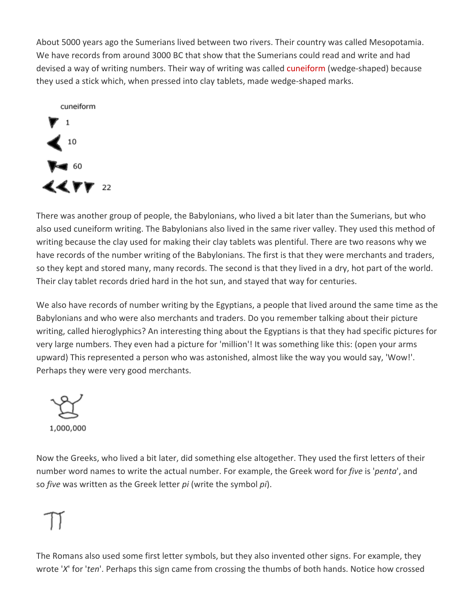About 5000 years ago the Sumerians lived between two rivers. Their country was called Mesopotamia. We have records from around 3000 BC that show that the Sumerians could read and write and had devised a way of writing numbers. Their way of writing was called cuneiform (wedge-shaped) because they used a stick which, when pressed into clay tablets, made wedge-shaped marks.



There was another group of people, the Babylonians, who lived a bit later than the Sumerians, but who also used cuneiform writing. The Babylonians also lived in the same river valley. They used this method of writing because the clay used for making their clay tablets was plentiful. There are two reasons why we have records of the number writing of the Babylonians. The first is that they were merchants and traders, so they kept and stored many, many records. The second is that they lived in a dry, hot part of the world. Their clay tablet records dried hard in the hot sun, and stayed that way for centuries.

We also have records of number writing by the Egyptians, a people that lived around the same time as the Babylonians and who were also merchants and traders. Do you remember talking about their picture writing, called hieroglyphics? An interesting thing about the Egyptians is that they had specific pictures for very large numbers. They even had a picture for 'million'! It was something like this: (open your arms upward) This represented a person who was astonished, almost like the way you would say, 'Wow!'. Perhaps they were very good merchants.

1,000,000

Now the Greeks, who lived a bit later, did something else altogether. They used the first letters of their number word names to write the actual number. For example, the Greek word for *five* is '*penta*', and so *five* was written as the Greek letter *pi* (write the symbol *pi*).

The Romans also used some first letter symbols, but they also invented other signs. For example, they wrote '*X*' for '*ten*'. Perhaps this sign came from crossing the thumbs of both hands. Notice how crossed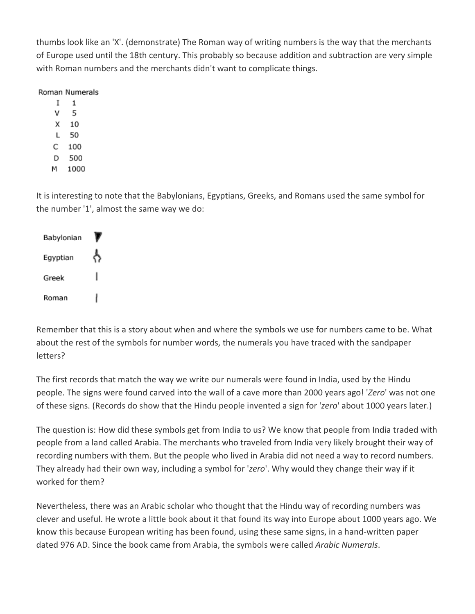thumbs look like an 'X'. (demonstrate) The Roman way of writing numbers is the way that the merchants of Europe used until the 18th century. This probably so because addition and subtraction are very simple with Roman numbers and the merchants didn't want to complicate things.

## Roman Numerals

- $\mathbf{1}$  $\mathbf{I}$
- v - 5
- $X$  10
- L 50
- $C$  100
- D 500
- M 1000

It is interesting to note that the Babylonians, Egyptians, Greeks, and Romans used the same symbol for the number '1', almost the same way we do:

| Babylonian |  |
|------------|--|
| Egyptian   |  |
| Greek      |  |
| Roman      |  |

Remember that this is a story about when and where the symbols we use for numbers came to be. What about the rest of the symbols for number words, the numerals you have traced with the sandpaper letters?

The first records that match the way we write our numerals were found in India, used by the Hindu people. The signs were found carved into the wall of a cave more than 2000 years ago! '*Zero*' was not one of these signs. (Records do show that the Hindu people invented a sign for '*zero*' about 1000 years later.)

The question is: How did these symbols get from India to us? We know that people from India traded with people from a land called Arabia. The merchants who traveled from India very likely brought their way of recording numbers with them. But the people who lived in Arabia did not need a way to record numbers. They already had their own way, including a symbol for '*zero*'. Why would they change their way if it worked for them?

Nevertheless, there was an Arabic scholar who thought that the Hindu way of recording numbers was clever and useful. He wrote a little book about it that found its way into Europe about 1000 years ago. We know this because European writing has been found, using these same signs, in a hand-written paper dated 976 AD. Since the book came from Arabia, the symbols were called *Arabic Numerals*.